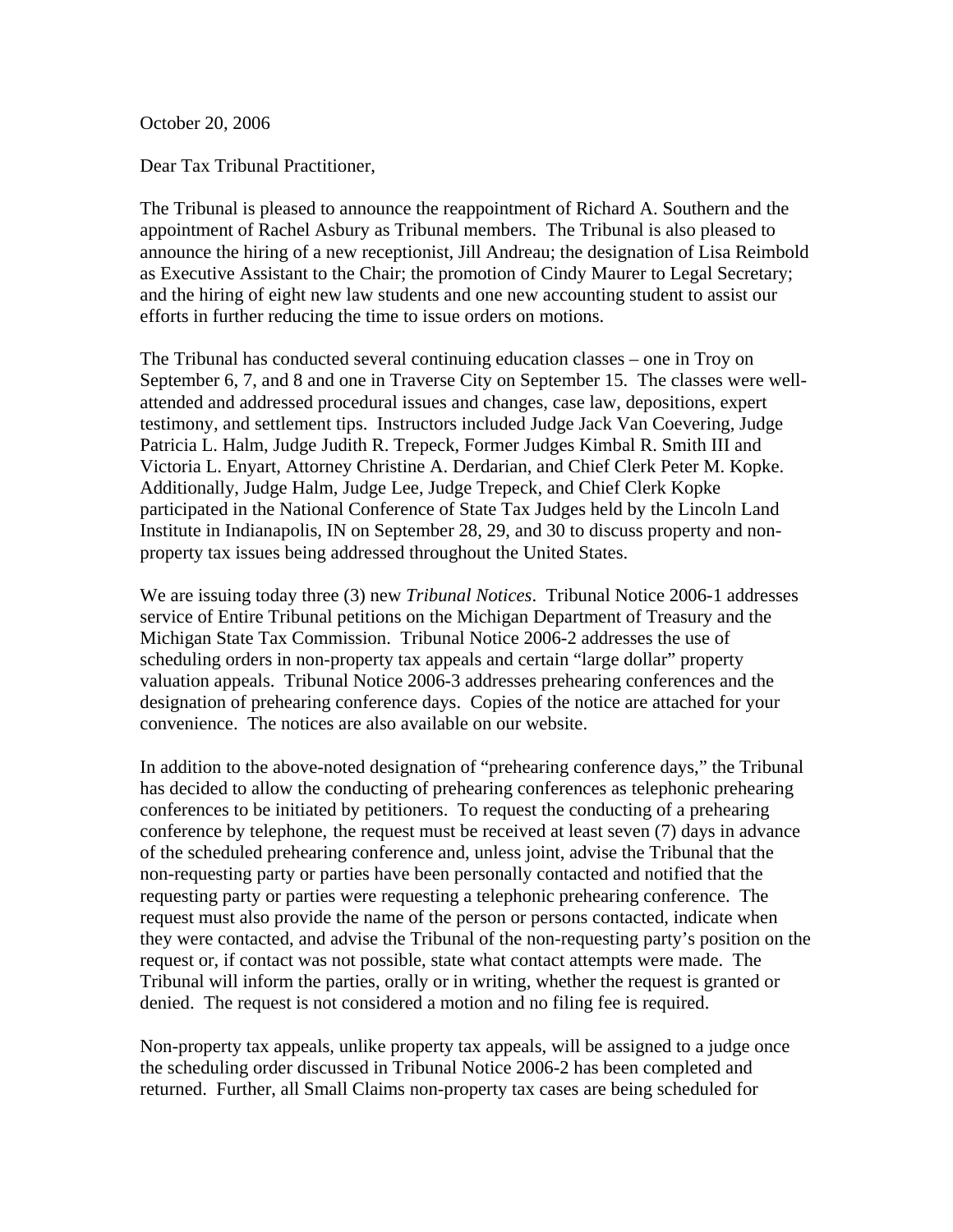October 20, 2006

Dear Tax Tribunal Practitioner,

The Tribunal is pleased to announce the reappointment of Richard A. Southern and the appointment of Rachel Asbury as Tribunal members. The Tribunal is also pleased to announce the hiring of a new receptionist, Jill Andreau; the designation of Lisa Reimbold as Executive Assistant to the Chair; the promotion of Cindy Maurer to Legal Secretary; and the hiring of eight new law students and one new accounting student to assist our efforts in further reducing the time to issue orders on motions.

The Tribunal has conducted several continuing education classes – one in Troy on September 6, 7, and 8 and one in Traverse City on September 15. The classes were wellattended and addressed procedural issues and changes, case law, depositions, expert testimony, and settlement tips. Instructors included Judge Jack Van Coevering, Judge Patricia L. Halm, Judge Judith R. Trepeck, Former Judges Kimbal R. Smith III and Victoria L. Enyart, Attorney Christine A. Derdarian, and Chief Clerk Peter M. Kopke. Additionally, Judge Halm, Judge Lee, Judge Trepeck, and Chief Clerk Kopke participated in the National Conference of State Tax Judges held by the Lincoln Land Institute in Indianapolis, IN on September 28, 29, and 30 to discuss property and nonproperty tax issues being addressed throughout the United States.

We are issuing today three (3) new *Tribunal Notices*. Tribunal Notice 2006-1 addresses service of Entire Tribunal petitions on the Michigan Department of Treasury and the Michigan State Tax Commission. Tribunal Notice 2006-2 addresses the use of scheduling orders in non-property tax appeals and certain "large dollar" property valuation appeals. Tribunal Notice 2006-3 addresses prehearing conferences and the designation of prehearing conference days. Copies of the notice are attached for your convenience. The notices are also available on our website.

In addition to the above-noted designation of "prehearing conference days," the Tribunal has decided to allow the conducting of prehearing conferences as telephonic prehearing conferences to be initiated by petitioners. To request the conducting of a prehearing conference by telephone, the request must be received at least seven (7) days in advance of the scheduled prehearing conference and, unless joint, advise the Tribunal that the non-requesting party or parties have been personally contacted and notified that the requesting party or parties were requesting a telephonic prehearing conference. The request must also provide the name of the person or persons contacted, indicate when they were contacted, and advise the Tribunal of the non-requesting party's position on the request or, if contact was not possible, state what contact attempts were made. The Tribunal will inform the parties, orally or in writing, whether the request is granted or denied. The request is not considered a motion and no filing fee is required.

Non-property tax appeals, unlike property tax appeals, will be assigned to a judge once the scheduling order discussed in Tribunal Notice 2006-2 has been completed and returned. Further, all Small Claims non-property tax cases are being scheduled for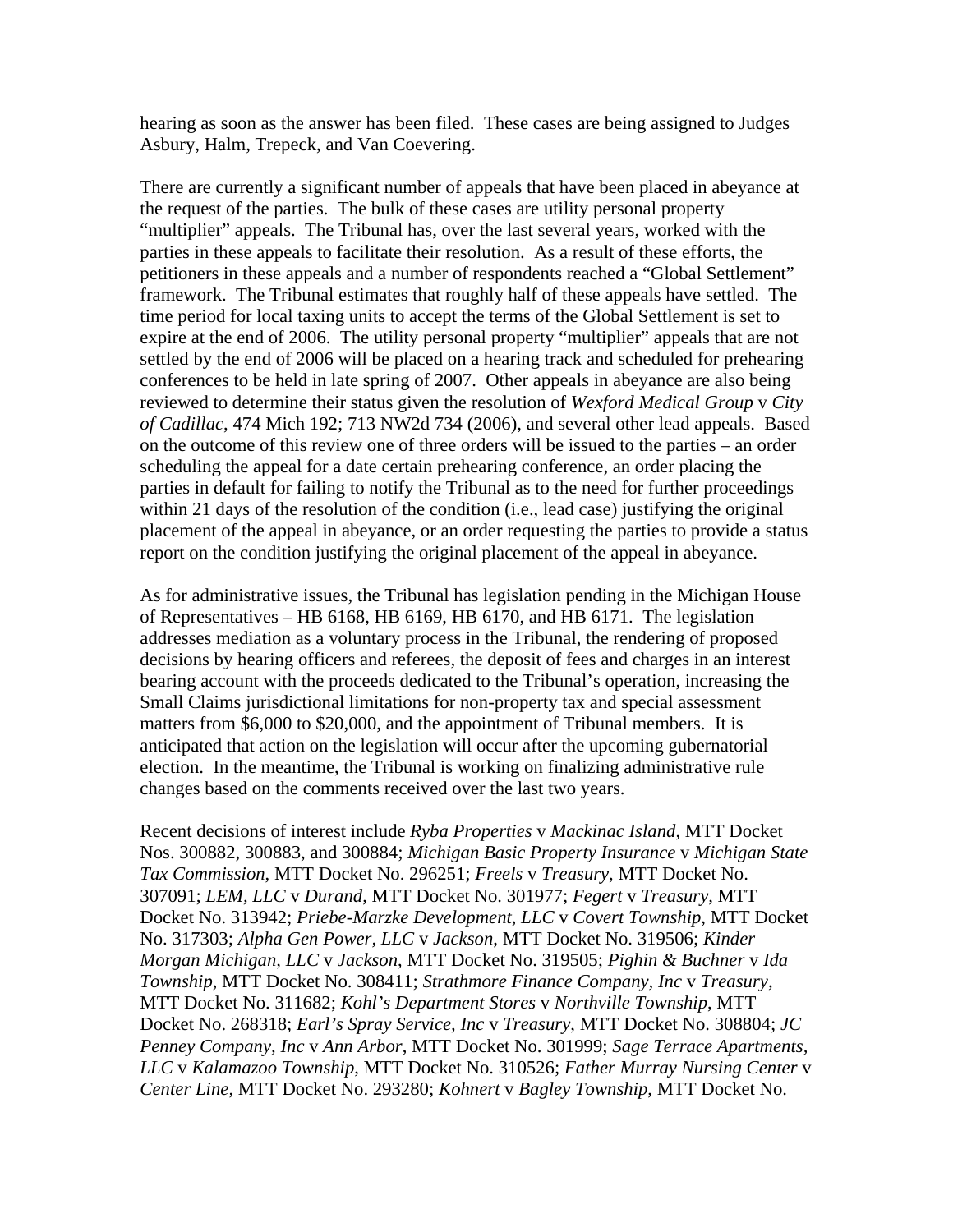hearing as soon as the answer has been filed. These cases are being assigned to Judges Asbury, Halm, Trepeck, and Van Coevering.

There are currently a significant number of appeals that have been placed in abeyance at the request of the parties. The bulk of these cases are utility personal property "multiplier" appeals. The Tribunal has, over the last several years, worked with the parties in these appeals to facilitate their resolution. As a result of these efforts, the petitioners in these appeals and a number of respondents reached a "Global Settlement" framework. The Tribunal estimates that roughly half of these appeals have settled. The time period for local taxing units to accept the terms of the Global Settlement is set to expire at the end of 2006. The utility personal property "multiplier" appeals that are not settled by the end of 2006 will be placed on a hearing track and scheduled for prehearing conferences to be held in late spring of 2007. Other appeals in abeyance are also being reviewed to determine their status given the resolution of *Wexford Medical Group* v *City of Cadillac*, 474 Mich 192; 713 NW2d 734 (2006), and several other lead appeals. Based on the outcome of this review one of three orders will be issued to the parties – an order scheduling the appeal for a date certain prehearing conference, an order placing the parties in default for failing to notify the Tribunal as to the need for further proceedings within 21 days of the resolution of the condition (i.e., lead case) justifying the original placement of the appeal in abeyance, or an order requesting the parties to provide a status report on the condition justifying the original placement of the appeal in abeyance.

As for administrative issues, the Tribunal has legislation pending in the Michigan House of Representatives – HB 6168, HB 6169, HB 6170, and HB 6171. The legislation addresses mediation as a voluntary process in the Tribunal, the rendering of proposed decisions by hearing officers and referees, the deposit of fees and charges in an interest bearing account with the proceeds dedicated to the Tribunal's operation, increasing the Small Claims jurisdictional limitations for non-property tax and special assessment matters from \$6,000 to \$20,000, and the appointment of Tribunal members. It is anticipated that action on the legislation will occur after the upcoming gubernatorial election. In the meantime, the Tribunal is working on finalizing administrative rule changes based on the comments received over the last two years.

Recent decisions of interest include *Ryba Properties* v *Mackinac Island*, MTT Docket Nos. 300882, 300883, and 300884; *Michigan Basic Property Insurance* v *Michigan State Tax Commission*, MTT Docket No. 296251; *Freels* v *Treasury*, MTT Docket No. 307091; *LEM, LLC* v *Durand*, MTT Docket No. 301977; *Fegert* v *Treasury*, MTT Docket No. 313942; *Priebe-Marzke Development, LLC* v *Covert Township*, MTT Docket No. 317303; *Alpha Gen Power, LLC* v *Jackson*, MTT Docket No. 319506; *Kinder Morgan Michigan, LLC* v *Jackson*, MTT Docket No. 319505; *Pighin & Buchner* v *Ida Township*, MTT Docket No. 308411; *Strathmore Finance Company, Inc* v *Treasury*, MTT Docket No. 311682; *Kohl's Department Stores* v *Northville Township*, MTT Docket No. 268318; *Earl's Spray Service, Inc* v *Treasury*, MTT Docket No. 308804; *JC Penney Company, Inc* v *Ann Arbor*, MTT Docket No. 301999; *Sage Terrace Apartments, LLC* v *Kalamazoo Township*, MTT Docket No. 310526; *Father Murray Nursing Center* v *Center Line*, MTT Docket No. 293280; *Kohnert* v *Bagley Township*, MTT Docket No.